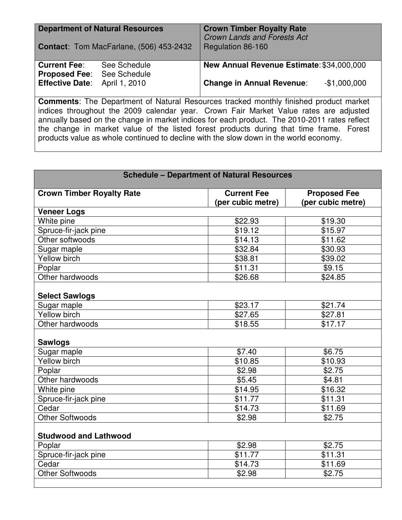| <b>Department of Natural Resources</b><br><b>Contact:</b> Tom MacFarlane, (506) 453-2432     |                              | <b>Crown Timber Royalty Rate</b><br><b>Crown Lands and Forests Act</b><br>Regulation 86-160 |  |  |
|----------------------------------------------------------------------------------------------|------------------------------|---------------------------------------------------------------------------------------------|--|--|
| <b>Current Fee:</b><br><b>Proposed Fee:</b>                                                  | See Schedule<br>See Schedule | New Annual Revenue Estimate: \$34,000,000                                                   |  |  |
| <b>Effective Date:</b>                                                                       | April 1, 2010                | $-$1,000,000$<br><b>Change in Annual Revenue:</b>                                           |  |  |
| <b>Comments:</b> The Department of Natural Resources tracked monthly finished product market |                              |                                                                                             |  |  |

indices throughout the 2009 calendar year. Crown Fair Market Value rates are adjusted annually based on the change in market indices for each product. The 2010-2011 rates reflect the change in market value of the listed forest products during that time frame. Forest products value as whole continued to decline with the slow down in the world economy.

| <b>Schedule - Department of Natural Resources</b> |                    |                     |  |  |
|---------------------------------------------------|--------------------|---------------------|--|--|
| <b>Crown Timber Royalty Rate</b>                  | <b>Current Fee</b> | <b>Proposed Fee</b> |  |  |
|                                                   | (per cubic metre)  | (per cubic metre)   |  |  |
| <b>Veneer Logs</b>                                |                    |                     |  |  |
| White pine                                        | \$22.93            | \$19.30             |  |  |
| Spruce-fir-jack pine                              | \$19.12            | \$15.97             |  |  |
| Other softwoods                                   | \$14.13            | \$11.62             |  |  |
| Sugar maple                                       | \$32.84            | \$30.93             |  |  |
| Yellow birch                                      | \$38.81            | \$39.02             |  |  |
| Poplar                                            | \$11.31            | \$9.15              |  |  |
| Other hardwoods                                   | \$26.68            | \$24.85             |  |  |
| <b>Select Sawlogs</b>                             |                    |                     |  |  |
| Sugar maple                                       | \$23.17            | \$21.74             |  |  |
| Yellow birch                                      | \$27.65            | \$27.81             |  |  |
| Other hardwoods                                   | \$18.55            | \$17.17             |  |  |
| <b>Sawlogs</b>                                    |                    |                     |  |  |
| Sugar maple                                       | \$7.40             | \$6.75              |  |  |
| <b>Yellow birch</b>                               | \$10.85            | \$10.93             |  |  |
| Poplar                                            | \$2.98             | \$2.75              |  |  |
| Other hardwoods                                   | \$5.45             | \$4.81              |  |  |
| White pine                                        | \$14.95            | \$16.32             |  |  |
| Spruce-fir-jack pine                              | \$11.77            | \$11.31             |  |  |
| Cedar                                             | \$14.73            | $\overline{$}11.69$ |  |  |
| <b>Other Softwoods</b>                            | \$2.98             | \$2.75              |  |  |
| <b>Studwood and Lathwood</b>                      |                    |                     |  |  |
| Poplar                                            | \$2.98             | \$2.75              |  |  |
| Spruce-fir-jack pine                              | \$11.77            | \$11.31             |  |  |
| Cedar                                             | \$14.73            | \$11.69             |  |  |
| Other Softwoods                                   | \$2.98             | \$2.75              |  |  |